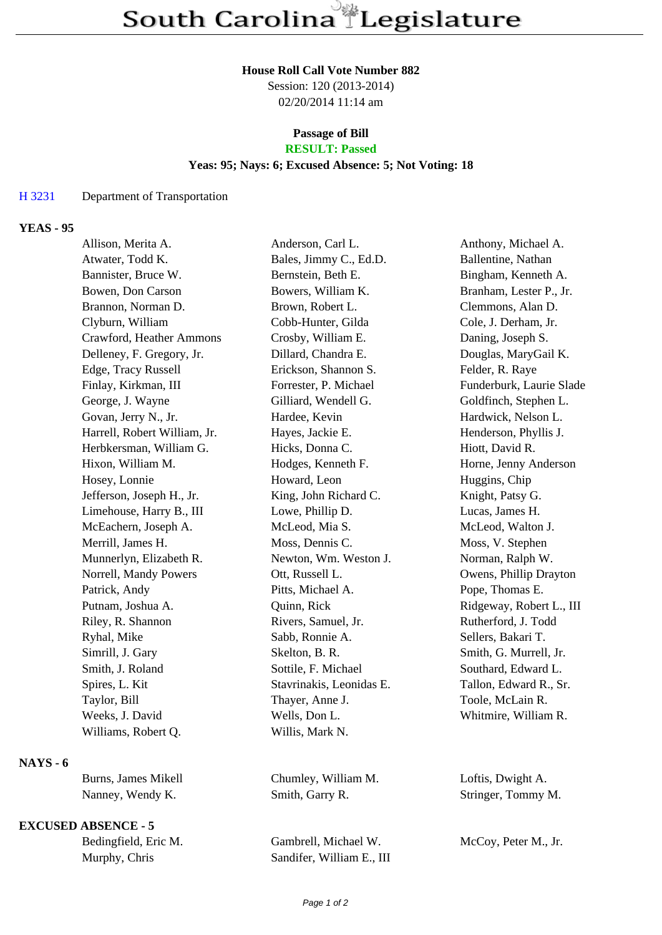#### **House Roll Call Vote Number 882**

Session: 120 (2013-2014) 02/20/2014 11:14 am

# **Passage of Bill**

## **RESULT: Passed**

### **Yeas: 95; Nays: 6; Excused Absence: 5; Not Voting: 18**

#### H 3231 Department of Transportation

#### **YEAS - 95**

| Allison, Merita A.           | Anderson, Carl L.        | Anthony, Michael A.      |
|------------------------------|--------------------------|--------------------------|
| Atwater, Todd K.             | Bales, Jimmy C., Ed.D.   | Ballentine, Nathan       |
| Bannister, Bruce W.          | Bernstein, Beth E.       | Bingham, Kenneth A.      |
| Bowen, Don Carson            | Bowers, William K.       | Branham, Lester P., Jr.  |
| Brannon, Norman D.           | Brown, Robert L.         | Clemmons, Alan D.        |
| Clyburn, William             | Cobb-Hunter, Gilda       | Cole, J. Derham, Jr.     |
| Crawford, Heather Ammons     | Crosby, William E.       | Daning, Joseph S.        |
| Delleney, F. Gregory, Jr.    | Dillard, Chandra E.      | Douglas, MaryGail K.     |
| Edge, Tracy Russell          | Erickson, Shannon S.     | Felder, R. Raye          |
| Finlay, Kirkman, III         | Forrester, P. Michael    | Funderburk, Laurie Slade |
| George, J. Wayne             | Gilliard, Wendell G.     | Goldfinch, Stephen L.    |
| Govan, Jerry N., Jr.         | Hardee, Kevin            | Hardwick, Nelson L.      |
| Harrell, Robert William, Jr. | Hayes, Jackie E.         | Henderson, Phyllis J.    |
| Herbkersman, William G.      | Hicks, Donna C.          | Hiott, David R.          |
| Hixon, William M.            | Hodges, Kenneth F.       | Horne, Jenny Anderson    |
| Hosey, Lonnie                | Howard, Leon             | Huggins, Chip            |
| Jefferson, Joseph H., Jr.    | King, John Richard C.    | Knight, Patsy G.         |
| Limehouse, Harry B., III     | Lowe, Phillip D.         | Lucas, James H.          |
| McEachern, Joseph A.         | McLeod, Mia S.           | McLeod, Walton J.        |
| Merrill, James H.            | Moss, Dennis C.          | Moss, V. Stephen         |
| Munnerlyn, Elizabeth R.      | Newton, Wm. Weston J.    | Norman, Ralph W.         |
| Norrell, Mandy Powers        | Ott, Russell L.          | Owens, Phillip Drayton   |
| Patrick, Andy                | Pitts, Michael A.        | Pope, Thomas E.          |
| Putnam, Joshua A.            | Quinn, Rick              | Ridgeway, Robert L., III |
| Riley, R. Shannon            | Rivers, Samuel, Jr.      | Rutherford, J. Todd      |
| Ryhal, Mike                  | Sabb, Ronnie A.          | Sellers, Bakari T.       |
| Simrill, J. Gary             | Skelton, B. R.           | Smith, G. Murrell, Jr.   |
| Smith, J. Roland             | Sottile, F. Michael      | Southard, Edward L.      |
| Spires, L. Kit               | Stavrinakis, Leonidas E. | Tallon, Edward R., Sr.   |
| Taylor, Bill                 | Thayer, Anne J.          | Toole, McLain R.         |
| Weeks, J. David              | Wells, Don L.            | Whitmire, William R.     |
| Williams, Robert Q.          | Willis, Mark N.          |                          |
|                              |                          |                          |

#### **NAYS - 6**

## **EXCUSED ABSENCE - 5**

Burns, James Mikell Chumley, William M. Loftis, Dwight A. Nanney, Wendy K. Smith, Garry R. Stringer, Tommy M.

Bedingfield, Eric M. Gambrell, Michael W. McCoy, Peter M., Jr. Murphy, Chris Sandifer, William E., III